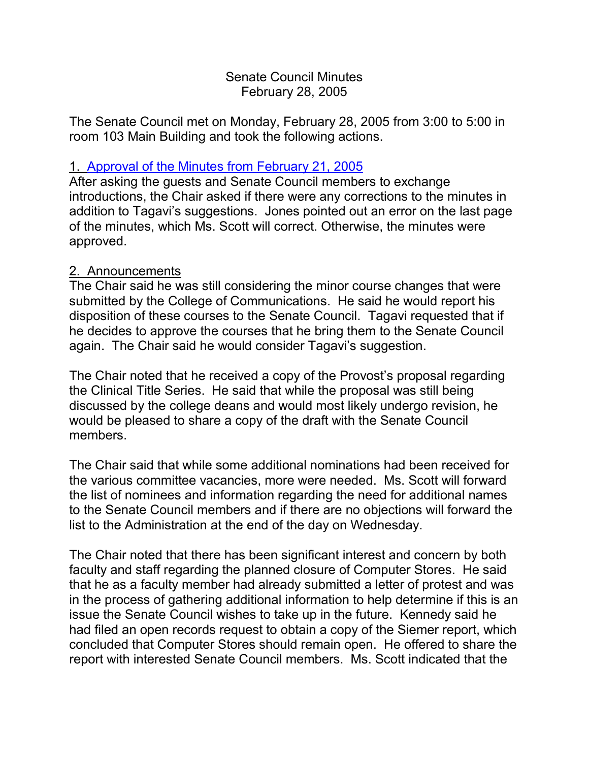### Senate Council Minutes February 28, 2005

The Senate Council met on Monday, February 28, 2005 from 3:00 to 5:00 in room 103 Main Building and took the following actions.

### 1. [Approval of the Minutes from](http://www.uky.edu/USC/New/SCMinutes/SC%20Minutes%20Feb%2021%202005%20FINAL.htm) February 21, 2005

After asking the guests and Senate Council members to exchange introductions, the Chair asked if there were any corrections to the minutes in addition to Tagavi's suggestions. Jones pointed out an error on the last page of the minutes, which Ms. Scott will correct. Otherwise, the minutes were approved.

#### 2. Announcements

The Chair said he was still considering the minor course changes that were submitted by the College of Communications. He said he would report his disposition of these courses to the Senate Council. Tagavi requested that if he decides to approve the courses that he bring them to the Senate Council again. The Chair said he would consider Tagavi's suggestion.

The Chair noted that he received a copy of the Provost's proposal regarding the Clinical Title Series. He said that while the proposal was still being discussed by the college deans and would most likely undergo revision, he would be pleased to share a copy of the draft with the Senate Council members.

The Chair said that while some additional nominations had been received for the various committee vacancies, more were needed. Ms. Scott will forward the list of nominees and information regarding the need for additional names to the Senate Council members and if there are no objections will forward the list to the Administration at the end of the day on Wednesday.

The Chair noted that there has been significant interest and concern by both faculty and staff regarding the planned closure of Computer Stores. He said that he as a faculty member had already submitted a letter of protest and was in the process of gathering additional information to help determine if this is an issue the Senate Council wishes to take up in the future. Kennedy said he had filed an open records request to obtain a copy of the Siemer report, which concluded that Computer Stores should remain open. He offered to share the report with interested Senate Council members. Ms. Scott indicated that the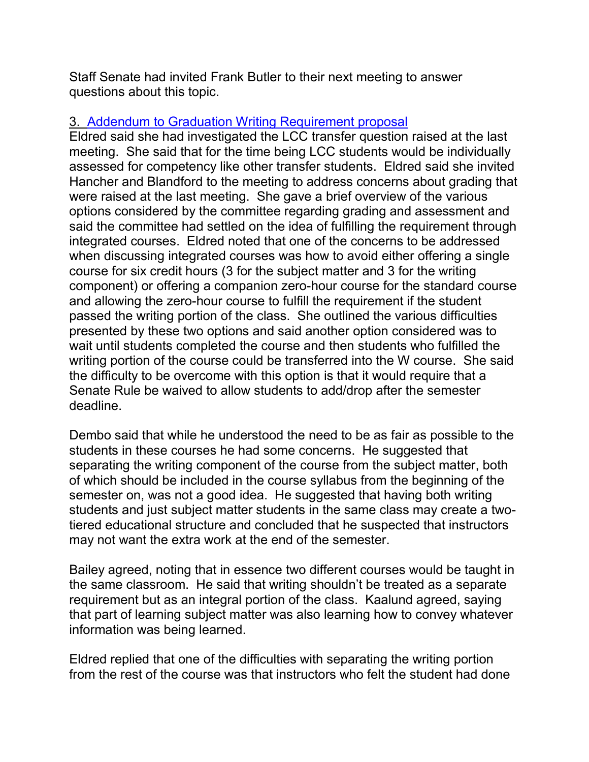Staff Senate had invited Frank Butler to their next meeting to answer questions about this topic.

### 3. [Addendum to Graduation Writing Requirement proposal](http://www.uky.edu/USC/New/SCAgendas/20050228/Addendum%20to%20Writing%20proposal.doc)

Eldred said she had investigated the LCC transfer question raised at the last meeting. She said that for the time being LCC students would be individually assessed for competency like other transfer students. Eldred said she invited Hancher and Blandford to the meeting to address concerns about grading that were raised at the last meeting. She gave a brief overview of the various options considered by the committee regarding grading and assessment and said the committee had settled on the idea of fulfilling the requirement through integrated courses. Eldred noted that one of the concerns to be addressed when discussing integrated courses was how to avoid either offering a single course for six credit hours (3 for the subject matter and 3 for the writing component) or offering a companion zero-hour course for the standard course and allowing the zero-hour course to fulfill the requirement if the student passed the writing portion of the class. She outlined the various difficulties presented by these two options and said another option considered was to wait until students completed the course and then students who fulfilled the writing portion of the course could be transferred into the W course. She said the difficulty to be overcome with this option is that it would require that a Senate Rule be waived to allow students to add/drop after the semester deadline.

Dembo said that while he understood the need to be as fair as possible to the students in these courses he had some concerns. He suggested that separating the writing component of the course from the subject matter, both of which should be included in the course syllabus from the beginning of the semester on, was not a good idea. He suggested that having both writing students and just subject matter students in the same class may create a twotiered educational structure and concluded that he suspected that instructors may not want the extra work at the end of the semester.

Bailey agreed, noting that in essence two different courses would be taught in the same classroom. He said that writing shouldn't be treated as a separate requirement but as an integral portion of the class. Kaalund agreed, saying that part of learning subject matter was also learning how to convey whatever information was being learned.

Eldred replied that one of the difficulties with separating the writing portion from the rest of the course was that instructors who felt the student had done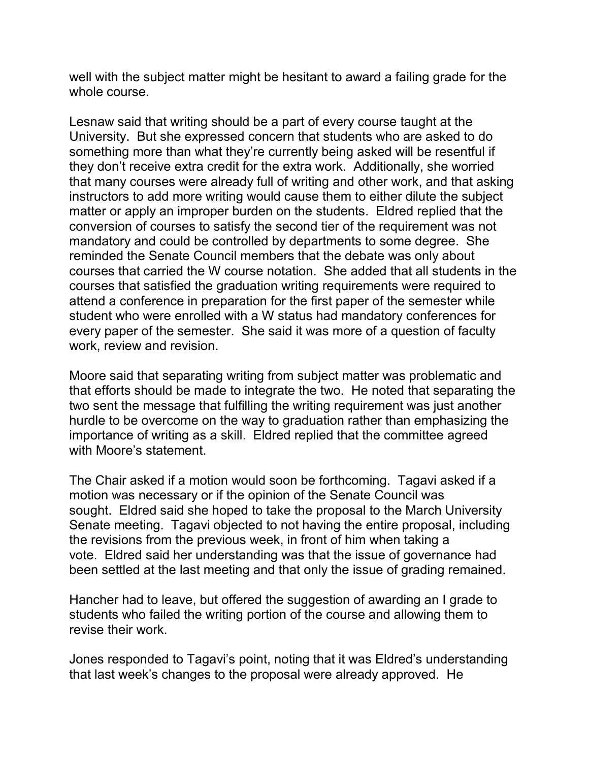well with the subject matter might be hesitant to award a failing grade for the whole course.

Lesnaw said that writing should be a part of every course taught at the University. But she expressed concern that students who are asked to do something more than what they're currently being asked will be resentful if they don't receive extra credit for the extra work. Additionally, she worried that many courses were already full of writing and other work, and that asking instructors to add more writing would cause them to either dilute the subject matter or apply an improper burden on the students. Eldred replied that the conversion of courses to satisfy the second tier of the requirement was not mandatory and could be controlled by departments to some degree. She reminded the Senate Council members that the debate was only about courses that carried the W course notation. She added that all students in the courses that satisfied the graduation writing requirements were required to attend a conference in preparation for the first paper of the semester while student who were enrolled with a W status had mandatory conferences for every paper of the semester. She said it was more of a question of faculty work, review and revision.

Moore said that separating writing from subject matter was problematic and that efforts should be made to integrate the two. He noted that separating the two sent the message that fulfilling the writing requirement was just another hurdle to be overcome on the way to graduation rather than emphasizing the importance of writing as a skill. Eldred replied that the committee agreed with Moore's statement.

The Chair asked if a motion would soon be forthcoming. Tagavi asked if a motion was necessary or if the opinion of the Senate Council was sought. Eldred said she hoped to take the proposal to the March University Senate meeting. Tagavi objected to not having the entire proposal, including the revisions from the previous week, in front of him when taking a vote. Eldred said her understanding was that the issue of governance had been settled at the last meeting and that only the issue of grading remained.

Hancher had to leave, but offered the suggestion of awarding an I grade to students who failed the writing portion of the course and allowing them to revise their work.

Jones responded to Tagavi's point, noting that it was Eldred's understanding that last week's changes to the proposal were already approved. He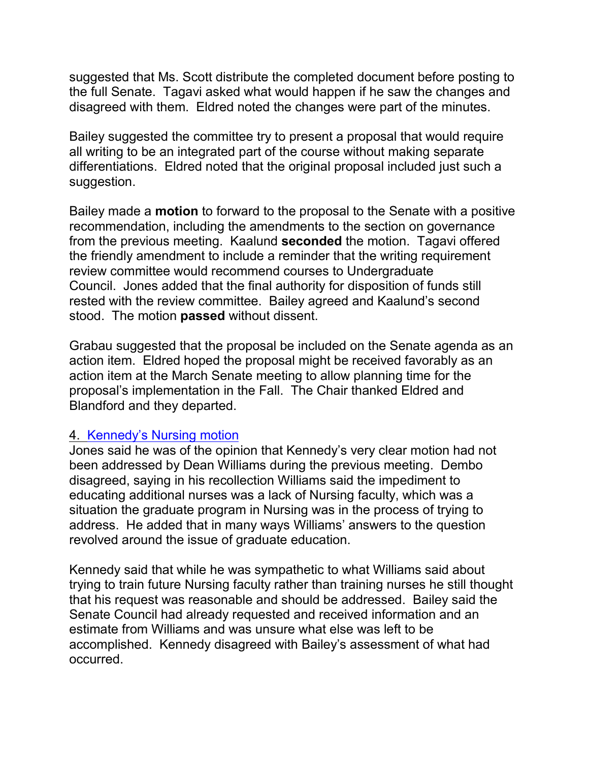suggested that Ms. Scott distribute the completed document before posting to the full Senate. Tagavi asked what would happen if he saw the changes and disagreed with them. Eldred noted the changes were part of the minutes.

Bailey suggested the committee try to present a proposal that would require all writing to be an integrated part of the course without making separate differentiations. Eldred noted that the original proposal included just such a suggestion.

Bailey made a **motion** to forward to the proposal to the Senate with a positive recommendation, including the amendments to the section on governance from the previous meeting. Kaalund **seconded** the motion. Tagavi offered the friendly amendment to include a reminder that the writing requirement review committee would recommend courses to Undergraduate Council. Jones added that the final authority for disposition of funds still rested with the review committee. Bailey agreed and Kaalund's second stood. The motion **passed** without dissent.

Grabau suggested that the proposal be included on the Senate agenda as an action item. Eldred hoped the proposal might be received favorably as an action item at the March Senate meeting to allow planning time for the proposal's implementation in the Fall. The Chair thanked Eldred and Blandford and they departed.

#### 4. [Kennedy's Nursing motion](http://www.uky.edu/USC/New/SCMinutes/SC%20Minutes%20Feb%2021%202005%20FINAL.htm)

Jones said he was of the opinion that Kennedy's very clear motion had not been addressed by Dean Williams during the previous meeting. Dembo disagreed, saying in his recollection Williams said the impediment to educating additional nurses was a lack of Nursing faculty, which was a situation the graduate program in Nursing was in the process of trying to address. He added that in many ways Williams' answers to the question revolved around the issue of graduate education.

Kennedy said that while he was sympathetic to what Williams said about trying to train future Nursing faculty rather than training nurses he still thought that his request was reasonable and should be addressed. Bailey said the Senate Council had already requested and received information and an estimate from Williams and was unsure what else was left to be accomplished. Kennedy disagreed with Bailey's assessment of what had occurred.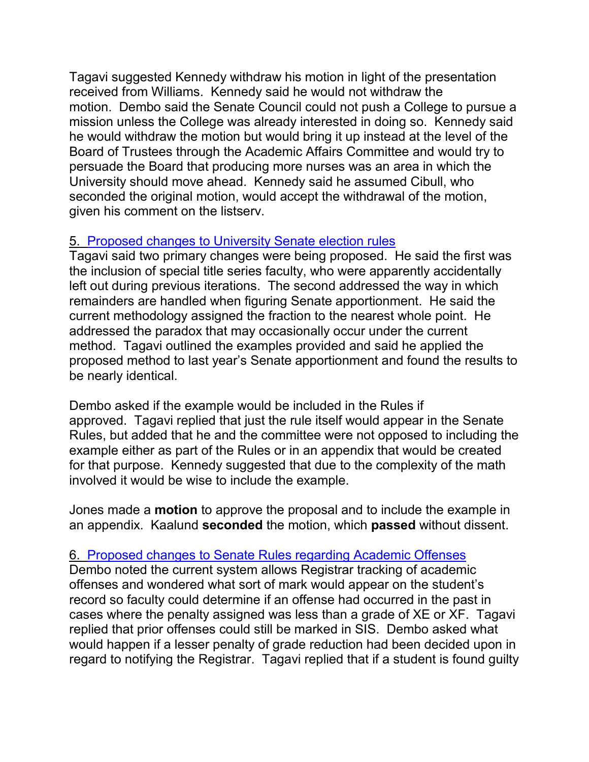Tagavi suggested Kennedy withdraw his motion in light of the presentation received from Williams. Kennedy said he would not withdraw the motion. Dembo said the Senate Council could not push a College to pursue a mission unless the College was already interested in doing so. Kennedy said he would withdraw the motion but would bring it up instead at the level of the Board of Trustees through the Academic Affairs Committee and would try to persuade the Board that producing more nurses was an area in which the University should move ahead. Kennedy said he assumed Cibull, who seconded the original motion, would accept the withdrawal of the motion, given his comment on the listserv.

# 5. [Proposed changes to University Senate](http://www.uky.edu/USC/New/SCAgendas/20050221/RC-033%20--%20Faculty%20Senate%20Seat%20Allocation%20v4%20approved%20feb%20163.doc) election rules

Tagavi said two primary changes were being proposed. He said the first was the inclusion of special title series faculty, who were apparently accidentally left out during previous iterations. The second addressed the way in which remainders are handled when figuring Senate apportionment. He said the current methodology assigned the fraction to the nearest whole point. He addressed the paradox that may occasionally occur under the current method. Tagavi outlined the examples provided and said he applied the proposed method to last year's Senate apportionment and found the results to be nearly identical.

Dembo asked if the example would be included in the Rules if approved. Tagavi replied that just the rule itself would appear in the Senate Rules, but added that he and the committee were not opposed to including the example either as part of the Rules or in an appendix that would be created for that purpose. Kennedy suggested that due to the complexity of the math involved it would be wise to include the example.

Jones made a **motion** to approve the proposal and to include the example in an appendix. Kaalund **seconded** the motion, which **passed** without dissent.

# 6. [Proposed changes to Senate Rules regarding Academic Offenses](http://www.chem.uky.edu/research/grossman/prop_acad_offenses.pdf)

Dembo noted the current system allows Registrar tracking of academic offenses and wondered what sort of mark would appear on the student's record so faculty could determine if an offense had occurred in the past in cases where the penalty assigned was less than a grade of XE or XF. Tagavi replied that prior offenses could still be marked in SIS. Dembo asked what would happen if a lesser penalty of grade reduction had been decided upon in regard to notifying the Registrar. Tagavi replied that if a student is found guilty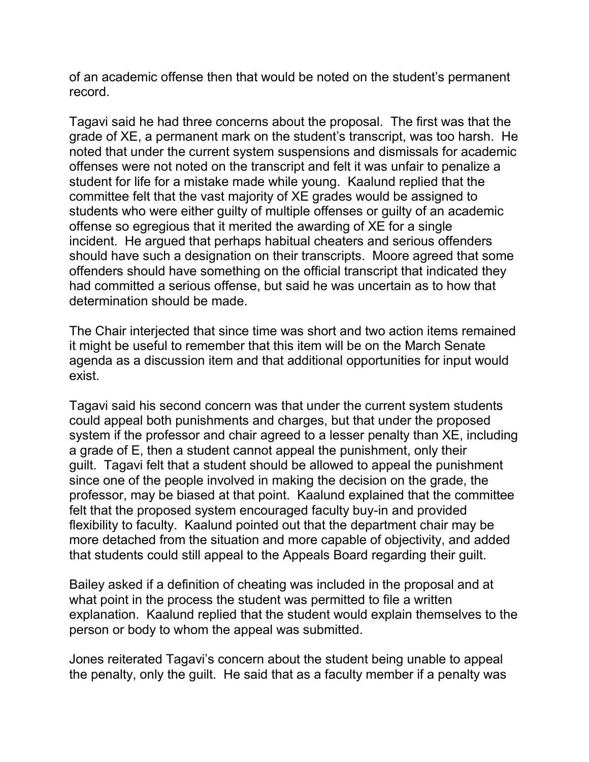of an academic offense then that would be noted on the student's permanent record.

Tagavi said he had three concerns about the proposal. The first was that the grade of XE, a permanent mark on the student's transcript, was too harsh. He noted that under the current system suspensions and dismissals for academic offenses were not noted on the transcript and felt it was unfair to penalize a student for life for a mistake made while young. Kaalund replied that the committee felt that the vast majority of XE grades would be assigned to students who were either guilty of multiple offenses or guilty of an academic offense so egregious that it merited the awarding of XE for a single incident. He argued that perhaps habitual cheaters and serious offenders should have such a designation on their transcripts. Moore agreed that some offenders should have something on the official transcript that indicated they had committed a serious offense, but said he was uncertain as to how that determination should be made.

The Chair interjected that since time was short and two action items remained it might be useful to remember that this item will be on the March Senate agenda as a discussion item and that additional opportunities for input would exist.

Tagavi said his second concern was that under the current system students could appeal both punishments and charges, but that under the proposed system if the professor and chair agreed to a lesser penalty than XE, including a grade of E, then a student cannot appeal the punishment, only their guilt. Tagavi felt that a student should be allowed to appeal the punishment since one of the people involved in making the decision on the grade, the professor, may be biased at that point. Kaalund explained that the committee felt that the proposed system encouraged faculty buy-in and provided flexibility to faculty. Kaalund pointed out that the department chair may be more detached from the situation and more capable of objectivity, and added that students could still appeal to the Appeals Board regarding their guilt.

Bailey asked if a definition of cheating was included in the proposal and at what point in the process the student was permitted to file a written explanation. Kaalund replied that the student would explain themselves to the person or body to whom the appeal was submitted.

Jones reiterated Tagavi's concern about the student being unable to appeal the penalty, only the guilt. He said that as a faculty member if a penalty was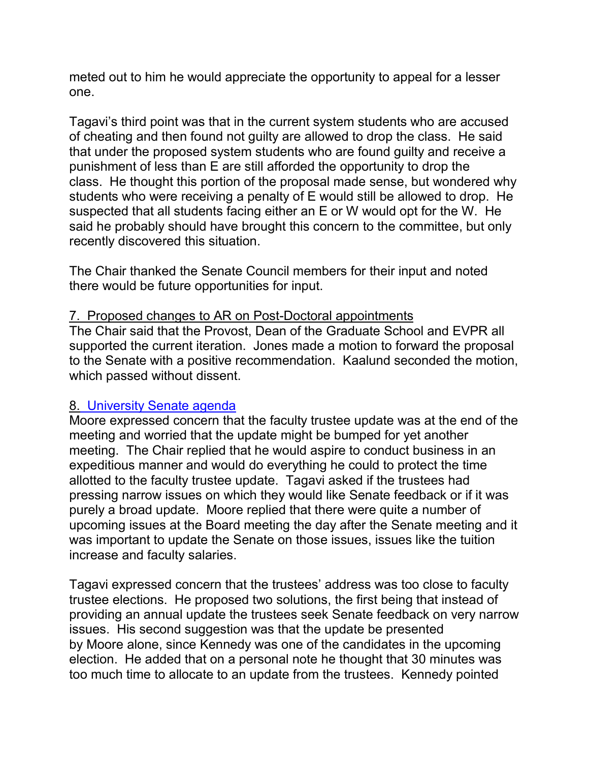meted out to him he would appreciate the opportunity to appeal for a lesser one.

Tagavi's third point was that in the current system students who are accused of cheating and then found not guilty are allowed to drop the class. He said that under the proposed system students who are found guilty and receive a punishment of less than E are still afforded the opportunity to drop the class. He thought this portion of the proposal made sense, but wondered why students who were receiving a penalty of E would still be allowed to drop. He suspected that all students facing either an E or W would opt for the W. He said he probably should have brought this concern to the committee, but only recently discovered this situation.

The Chair thanked the Senate Council members for their input and noted there would be future opportunities for input.

#### 7. Proposed changes to AR on Post-Doctoral appointments

The Chair said that the Provost, Dean of the Graduate School and EVPR all supported the current iteration. Jones made a motion to forward the proposal to the Senate with a positive recommendation. Kaalund seconded the motion, which passed without dissent.

#### 8[. University Senate agenda](http://www.uky.edu/USC/New/SCAgendas/20050228/March%207,%202005.doc)

Moore expressed concern that the faculty trustee update was at the end of the meeting and worried that the update might be bumped for yet another meeting. The Chair replied that he would aspire to conduct business in an expeditious manner and would do everything he could to protect the time allotted to the faculty trustee update. Tagavi asked if the trustees had pressing narrow issues on which they would like Senate feedback or if it was purely a broad update. Moore replied that there were quite a number of upcoming issues at the Board meeting the day after the Senate meeting and it was important to update the Senate on those issues, issues like the tuition increase and faculty salaries.

Tagavi expressed concern that the trustees' address was too close to faculty trustee elections. He proposed two solutions, the first being that instead of providing an annual update the trustees seek Senate feedback on very narrow issues. His second suggestion was that the update be presented by Moore alone, since Kennedy was one of the candidates in the upcoming election. He added that on a personal note he thought that 30 minutes was too much time to allocate to an update from the trustees. Kennedy pointed